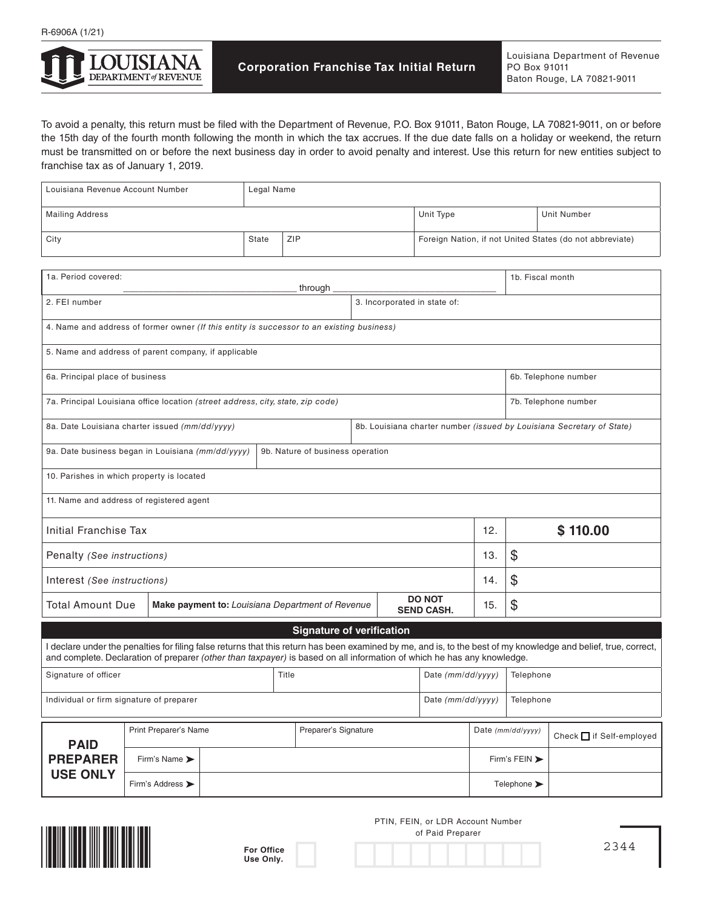

To avoid a penalty, this return must be filed with the Department of Revenue, P.O. Box 91011, Baton Rouge, LA 70821-9011, on or before the 15th day of the fourth month following the month in which the tax accrues. If the due date falls on a holiday or weekend, the return must be transmitted on or before the next business day in order to avoid penalty and interest. Use this return for new entities subject to franchise tax as of January 1, 2019.

|                                                                                                                                                                                                                                                                                           | Louisiana Revenue Account Number<br>Legal Name |  |              |                      |                                    |  |                                                          |                                                                       |                               |                    |  |
|-------------------------------------------------------------------------------------------------------------------------------------------------------------------------------------------------------------------------------------------------------------------------------------------|------------------------------------------------|--|--------------|----------------------|------------------------------------|--|----------------------------------------------------------|-----------------------------------------------------------------------|-------------------------------|--------------------|--|
| <b>Mailing Address</b>                                                                                                                                                                                                                                                                    |                                                |  |              |                      |                                    |  | Unit Type                                                |                                                                       |                               | <b>Unit Number</b> |  |
| City                                                                                                                                                                                                                                                                                      |                                                |  | ZIP<br>State |                      |                                    |  | Foreign Nation, if not United States (do not abbreviate) |                                                                       |                               |                    |  |
| 1a. Period covered:<br>through                                                                                                                                                                                                                                                            |                                                |  |              |                      |                                    |  |                                                          | 1b. Fiscal month                                                      |                               |                    |  |
| 3. Incorporated in state of:<br>2. FEI number                                                                                                                                                                                                                                             |                                                |  |              |                      |                                    |  |                                                          |                                                                       |                               |                    |  |
| 4. Name and address of former owner (If this entity is successor to an existing business)                                                                                                                                                                                                 |                                                |  |              |                      |                                    |  |                                                          |                                                                       |                               |                    |  |
| 5. Name and address of parent company, if applicable                                                                                                                                                                                                                                      |                                                |  |              |                      |                                    |  |                                                          |                                                                       |                               |                    |  |
| 6a. Principal place of business                                                                                                                                                                                                                                                           |                                                |  |              |                      |                                    |  |                                                          |                                                                       | 6b. Telephone number          |                    |  |
| 7a. Principal Louisiana office location (street address, city, state, zip code)                                                                                                                                                                                                           |                                                |  |              |                      |                                    |  |                                                          |                                                                       | 7b. Telephone number          |                    |  |
| 8a. Date Louisiana charter issued (mm/dd/yyyy)                                                                                                                                                                                                                                            |                                                |  |              |                      |                                    |  |                                                          | 8b. Louisiana charter number (issued by Louisiana Secretary of State) |                               |                    |  |
| 9a. Date business began in Louisiana (mm/dd/yyyy)<br>9b. Nature of business operation                                                                                                                                                                                                     |                                                |  |              |                      |                                    |  |                                                          |                                                                       |                               |                    |  |
| 10. Parishes in which property is located                                                                                                                                                                                                                                                 |                                                |  |              |                      |                                    |  |                                                          |                                                                       |                               |                    |  |
| 11. Name and address of registered agent                                                                                                                                                                                                                                                  |                                                |  |              |                      |                                    |  |                                                          |                                                                       |                               |                    |  |
| Initial Franchise Tax                                                                                                                                                                                                                                                                     |                                                |  |              |                      |                                    |  |                                                          | 12.                                                                   | \$110.00                      |                    |  |
| Penalty (See instructions)                                                                                                                                                                                                                                                                |                                                |  |              |                      |                                    |  |                                                          | 13.                                                                   | \$                            |                    |  |
| Interest (See instructions)                                                                                                                                                                                                                                                               |                                                |  |              |                      |                                    |  |                                                          | 14.                                                                   | \$                            |                    |  |
| <b>Total Amount Due</b><br>Make payment to: Louisiana Department of Revenue                                                                                                                                                                                                               |                                                |  |              |                      | <b>DO NOT</b><br><b>SEND CASH.</b> |  | 15.                                                      | \$                                                                    |                               |                    |  |
| <b>Signature of verification</b>                                                                                                                                                                                                                                                          |                                                |  |              |                      |                                    |  |                                                          |                                                                       |                               |                    |  |
| I declare under the penalties for filing false returns that this return has been examined by me, and is, to the best of my knowledge and belief, true, correct,<br>and complete. Declaration of preparer (other than taxpayer) is based on all information of which he has any knowledge. |                                                |  |              |                      |                                    |  |                                                          |                                                                       |                               |                    |  |
| Signature of officer                                                                                                                                                                                                                                                                      |                                                |  |              | Title                |                                    |  | Date (mm/dd/yyyy)                                        |                                                                       | Telephone                     |                    |  |
| Date $(mm/dd/yyyy)$<br>Individual or firm signature of preparer                                                                                                                                                                                                                           |                                                |  |              |                      |                                    |  |                                                          |                                                                       | Telephone                     |                    |  |
|                                                                                                                                                                                                                                                                                           | Print Preparer's Name                          |  |              | Preparer's Signature |                                    |  | Date $(mm/dd/vyyy)$                                      |                                                                       | Check $\Box$ if Self-employed |                    |  |
| <b>PAID</b><br><b>PREPARER</b>                                                                                                                                                                                                                                                            | Firm's Name >                                  |  |              |                      |                                    |  |                                                          | Firm's FEIN >                                                         |                               |                    |  |
| <b>USE ONLY</b>                                                                                                                                                                                                                                                                           | Firm's Address >                               |  |              |                      |                                    |  |                                                          | Telephone >                                                           |                               |                    |  |



**For Office Use Only.**

PTIN, FEIN, or LDR Account Number of Paid Preparer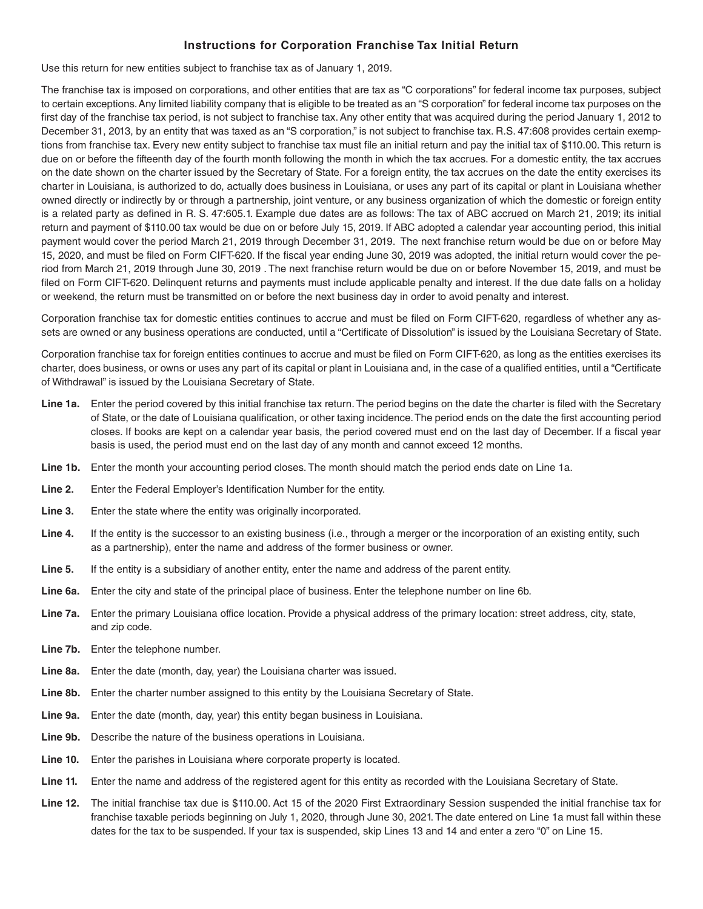## **Instructions for Corporation Franchise Tax Initial Return**

Use this return for new entities subject to franchise tax as of January 1, 2019.

The franchise tax is imposed on corporations, and other entities that are tax as "C corporations" for federal income tax purposes, subject to certain exceptions. Any limited liability company that is eligible to be treated as an "S corporation" for federal income tax purposes on the first day of the franchise tax period, is not subject to franchise tax. Any other entity that was acquired during the period January 1, 2012 to December 31, 2013, by an entity that was taxed as an "S corporation," is not subject to franchise tax. R.S. 47:608 provides certain exemptions from franchise tax. Every new entity subject to franchise tax must file an initial return and pay the initial tax of \$110.00. This return is due on or before the fifteenth day of the fourth month following the month in which the tax accrues. For a domestic entity, the tax accrues on the date shown on the charter issued by the Secretary of State. For a foreign entity, the tax accrues on the date the entity exercises its charter in Louisiana, is authorized to do, actually does business in Louisiana, or uses any part of its capital or plant in Louisiana whether owned directly or indirectly by or through a partnership, joint venture, or any business organization of which the domestic or foreign entity is a related party as defined in R. S. 47:605.1. Example due dates are as follows: The tax of ABC accrued on March 21, 2019; its initial return and payment of \$110.00 tax would be due on or before July 15, 2019. If ABC adopted a calendar year accounting period, this initial payment would cover the period March 21, 2019 through December 31, 2019. The next franchise return would be due on or before May 15, 2020, and must be filed on Form CIFT-620. If the fiscal year ending June 30, 2019 was adopted, the initial return would cover the period from March 21, 2019 through June 30, 2019 . The next franchise return would be due on or before November 15, 2019, and must be filed on Form CIFT-620. Delinquent returns and payments must include applicable penalty and interest. If the due date falls on a holiday or weekend, the return must be transmitted on or before the next business day in order to avoid penalty and interest.

Corporation franchise tax for domestic entities continues to accrue and must be filed on Form CIFT-620, regardless of whether any assets are owned or any business operations are conducted, until a "Certificate of Dissolution" is issued by the Louisiana Secretary of State.

Corporation franchise tax for foreign entities continues to accrue and must be filed on Form CIFT-620, as long as the entities exercises its charter, does business, or owns or uses any part of its capital or plant in Louisiana and, in the case of a qualified entities, until a "Certificate of Withdrawal" is issued by the Louisiana Secretary of State.

- **Line 1a.** Enter the period covered by this initial franchise tax return. The period begins on the date the charter is filed with the Secretary of State, or the date of Louisiana qualification, or other taxing incidence. The period ends on the date the first accounting period closes. If books are kept on a calendar year basis, the period covered must end on the last day of December. If a fiscal year basis is used, the period must end on the last day of any month and cannot exceed 12 months.
- **Line 1b.** Enter the month your accounting period closes. The month should match the period ends date on Line 1a.
- **Line 2.** Enter the Federal Employer's Identification Number for the entity.
- **Line 3.** Enter the state where the entity was originally incorporated.
- Line 4. If the entity is the successor to an existing business (i.e., through a merger or the incorporation of an existing entity, such as a partnership), enter the name and address of the former business or owner.
- **Line 5.** If the entity is a subsidiary of another entity, enter the name and address of the parent entity.
- **Line 6a.** Enter the city and state of the principal place of business. Enter the telephone number on line 6b.
- **Line 7a.** Enter the primary Louisiana office location. Provide a physical address of the primary location: street address, city, state, and zip code.
- Line 7b. Enter the telephone number.
- **Line 8a.** Enter the date (month, day, year) the Louisiana charter was issued.
- **Line 8b.** Enter the charter number assigned to this entity by the Louisiana Secretary of State.
- **Line 9a.** Enter the date (month, day, year) this entity began business in Louisiana.
- **Line 9b.** Describe the nature of the business operations in Louisiana.
- **Line 10.** Enter the parishes in Louisiana where corporate property is located.
- Line 11. Enter the name and address of the registered agent for this entity as recorded with the Louisiana Secretary of State.
- **Line 12.** The initial franchise tax due is \$110.00. Act 15 of the 2020 First Extraordinary Session suspended the initial franchise tax for franchise taxable periods beginning on July 1, 2020, through June 30, 2021. The date entered on Line 1a must fall within these dates for the tax to be suspended. If your tax is suspended, skip Lines 13 and 14 and enter a zero "0" on Line 15.